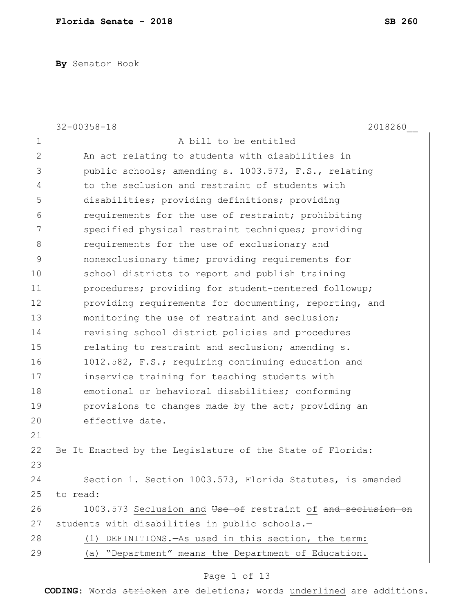**By** Senator Book

|                | $32 - 00358 - 18$<br>2018260                                |
|----------------|-------------------------------------------------------------|
| 1              | A bill to be entitled                                       |
| $\overline{2}$ | An act relating to students with disabilities in            |
| 3              | public schools; amending s. 1003.573, F.S., relating        |
| 4              | to the seclusion and restraint of students with             |
| 5              | disabilities; providing definitions; providing              |
| 6              | requirements for the use of restraint; prohibiting          |
| 7              | specified physical restraint techniques; providing          |
| 8              | requirements for the use of exclusionary and                |
| 9              | nonexclusionary time; providing requirements for            |
| 10             | school districts to report and publish training             |
| 11             | procedures; providing for student-centered followup;        |
| 12             | providing requirements for documenting, reporting, and      |
| 13             | monitoring the use of restraint and seclusion;              |
| 14             | revising school district policies and procedures            |
| 15             | relating to restraint and seclusion; amending s.            |
| 16             | 1012.582, F.S.; requiring continuing education and          |
| 17             | inservice training for teaching students with               |
| 18             | emotional or behavioral disabilities; conforming            |
| 19             | provisions to changes made by the act; providing an         |
| 20             | effective date.                                             |
| 21             |                                                             |
| 22             | Be It Enacted by the Legislature of the State of Florida:   |
| 23             |                                                             |
| 24             | Section 1. Section 1003.573, Florida Statutes, is amended   |
| 25             | to read:                                                    |
| 26             | 1003.573 Seclusion and Use of restraint of and seclusion on |
| 27             | students with disabilities in public schools.-              |
| 28             | DEFINITIONS. - As used in this section, the term:<br>(1)    |
| 29             | "Department" means the Department of Education.<br>(a)      |

# Page 1 of 13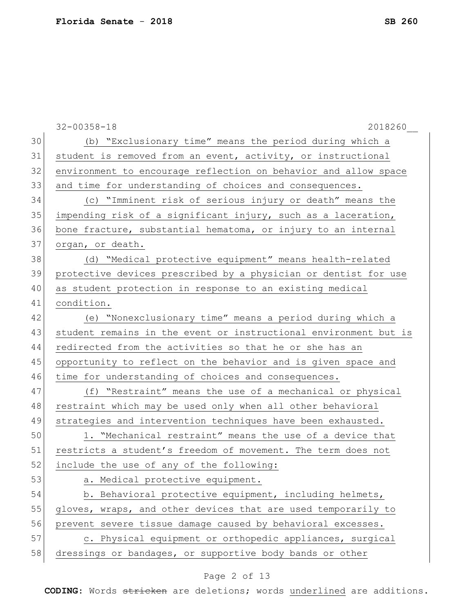|    | $32 - 00358 - 18$<br>2018260                                     |
|----|------------------------------------------------------------------|
| 30 | (b) "Exclusionary time" means the period during which a          |
| 31 | student is removed from an event, activity, or instructional     |
| 32 | environment to encourage reflection on behavior and allow space  |
| 33 | and time for understanding of choices and consequences.          |
| 34 | (c) "Imminent risk of serious injury or death" means the         |
| 35 | impending risk of a significant injury, such as a laceration,    |
| 36 | bone fracture, substantial hematoma, or injury to an internal    |
| 37 | organ, or death.                                                 |
| 38 | (d) "Medical protective equipment" means health-related          |
| 39 | protective devices prescribed by a physician or dentist for use  |
| 40 | as student protection in response to an existing medical         |
| 41 | condition.                                                       |
| 42 | (e) "Nonexclusionary time" means a period during which a         |
| 43 | student remains in the event or instructional environment but is |
| 44 | redirected from the activities so that he or she has an          |
| 45 | opportunity to reflect on the behavior and is given space and    |
| 46 | time for understanding of choices and consequences.              |
| 47 | (f) "Restraint" means the use of a mechanical or physical        |
| 48 | restraint which may be used only when all other behavioral       |
| 49 | strategies and intervention techniques have been exhausted.      |
| 50 | 1. "Mechanical restraint" means the use of a device that         |
| 51 | restricts a student's freedom of movement. The term does not     |
| 52 | include the use of any of the following:                         |
| 53 | a. Medical protective equipment.                                 |
| 54 | b. Behavioral protective equipment, including helmets,           |
| 55 | gloves, wraps, and other devices that are used temporarily to    |
| 56 | prevent severe tissue damage caused by behavioral excesses.      |
| 57 | c. Physical equipment or orthopedic appliances, surgical         |
| 58 | dressings or bandages, or supportive body bands or other         |

# Page 2 of 13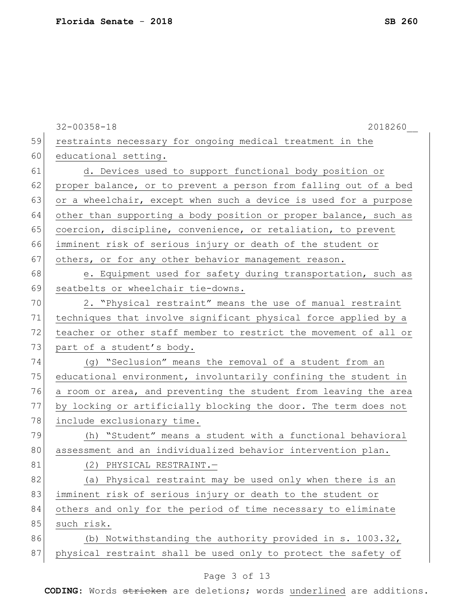|    | $32 - 00358 - 18$<br>2018260                                     |
|----|------------------------------------------------------------------|
| 59 | restraints necessary for ongoing medical treatment in the        |
| 60 | educational setting.                                             |
| 61 | d. Devices used to support functional body position or           |
| 62 | proper balance, or to prevent a person from falling out of a bed |
| 63 | or a wheelchair, except when such a device is used for a purpose |
| 64 | other than supporting a body position or proper balance, such as |
| 65 | coercion, discipline, convenience, or retaliation, to prevent    |
| 66 | imminent risk of serious injury or death of the student or       |
| 67 | others, or for any other behavior management reason.             |
| 68 | e. Equipment used for safety during transportation, such as      |
| 69 | seatbelts or wheelchair tie-downs.                               |
| 70 | 2. "Physical restraint" means the use of manual restraint        |
| 71 | techniques that involve significant physical force applied by a  |
| 72 | teacher or other staff member to restrict the movement of all or |
| 73 | part of a student's body.                                        |
| 74 | (g) "Seclusion" means the removal of a student from an           |
| 75 | educational environment, involuntarily confining the student in  |
| 76 | a room or area, and preventing the student from leaving the area |
| 77 | by locking or artificially blocking the door. The term does not  |
| 78 | include exclusionary time.                                       |
| 79 | (h) "Student" means a student with a functional behavioral       |
| 80 | assessment and an individualized behavior intervention plan.     |
| 81 | (2) PHYSICAL RESTRAINT.-                                         |
| 82 | (a) Physical restraint may be used only when there is an         |
| 83 | imminent risk of serious injury or death to the student or       |
| 84 | others and only for the period of time necessary to eliminate    |
| 85 | such risk.                                                       |
| 86 | Notwithstanding the authority provided in s. 1003.32,<br>(b)     |
| 87 | physical restraint shall be used only to protect the safety of   |
|    |                                                                  |

#### Page 3 of 13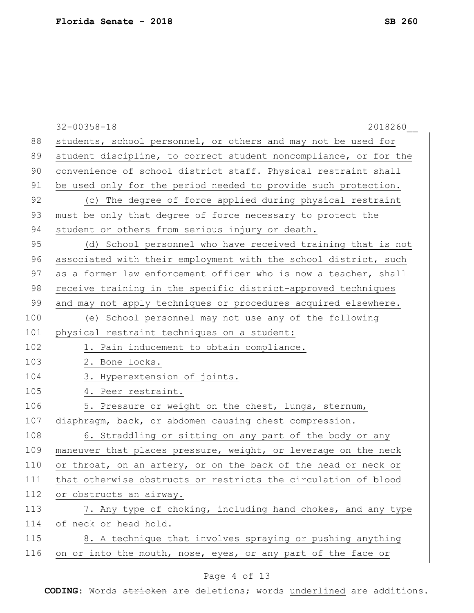|     | $32 - 00358 - 18$<br>2018260                                     |
|-----|------------------------------------------------------------------|
| 88  | students, school personnel, or others and may not be used for    |
| 89  | student discipline, to correct student noncompliance, or for the |
| 90  | convenience of school district staff. Physical restraint shall   |
| 91  | be used only for the period needed to provide such protection.   |
| 92  | (c) The degree of force applied during physical restraint        |
| 93  | must be only that degree of force necessary to protect the       |
| 94  | student or others from serious injury or death.                  |
| 95  | (d) School personnel who have received training that is not      |
| 96  | associated with their employment with the school district, such  |
| 97  | as a former law enforcement officer who is now a teacher, shall  |
| 98  | receive training in the specific district-approved techniques    |
| 99  | and may not apply techniques or procedures acquired elsewhere.   |
| 100 | (e) School personnel may not use any of the following            |
| 101 | physical restraint techniques on a student:                      |
| 102 | 1. Pain inducement to obtain compliance.                         |
| 103 | 2. Bone locks.                                                   |
| 104 | 3. Hyperextension of joints.                                     |
| 105 | 4. Peer restraint.                                               |
| 106 | 5. Pressure or weight on the chest, lungs, sternum,              |
| 107 | diaphragm, back, or abdomen causing chest compression.           |
| 108 | 6. Straddling or sitting on any part of the body or any          |
| 109 | maneuver that places pressure, weight, or leverage on the neck   |
| 110 | or throat, on an artery, or on the back of the head or neck or   |
| 111 | that otherwise obstructs or restricts the circulation of blood   |
| 112 | or obstructs an airway.                                          |
| 113 | 7. Any type of choking, including hand chokes, and any type      |
| 114 | of neck or head hold.                                            |
| 115 | 8. A technique that involves spraying or pushing anything        |
| 116 | on or into the mouth, nose, eyes, or any part of the face or     |
|     |                                                                  |

# Page 4 of 13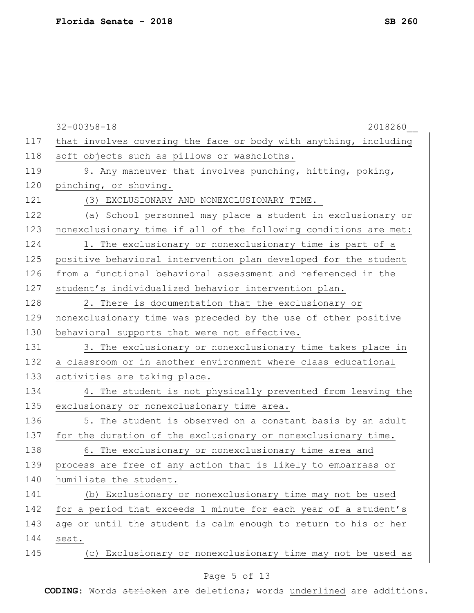|     | $32 - 00358 - 18$<br>2018260                                     |
|-----|------------------------------------------------------------------|
| 117 | that involves covering the face or body with anything, including |
| 118 | soft objects such as pillows or washcloths.                      |
| 119 | 9. Any maneuver that involves punching, hitting, poking,         |
| 120 | pinching, or shoving.                                            |
| 121 | (3) EXCLUSIONARY AND NONEXCLUSIONARY TIME.-                      |
| 122 | (a) School personnel may place a student in exclusionary or      |
| 123 | nonexclusionary time if all of the following conditions are met: |
| 124 | 1. The exclusionary or nonexclusionary time is part of a         |
| 125 | positive behavioral intervention plan developed for the student  |
| 126 | from a functional behavioral assessment and referenced in the    |
| 127 | student's individualized behavior intervention plan.             |
| 128 | 2. There is documentation that the exclusionary or               |
| 129 | nonexclusionary time was preceded by the use of other positive   |
| 130 | behavioral supports that were not effective.                     |
| 131 | 3. The exclusionary or nonexclusionary time takes place in       |
| 132 | a classroom or in another environment where class educational    |
| 133 | activities are taking place.                                     |
| 134 | 4. The student is not physically prevented from leaving the      |
| 135 | exclusionary or nonexclusionary time area.                       |
| 136 | 5. The student is observed on a constant basis by an adult       |
| 137 | for the duration of the exclusionary or nonexclusionary time.    |
| 138 | 6. The exclusionary or nonexclusionary time area and             |
| 139 | process are free of any action that is likely to embarrass or    |
| 140 | humiliate the student.                                           |
| 141 | (b) Exclusionary or nonexclusionary time may not be used         |
| 142 | for a period that exceeds 1 minute for each year of a student's  |
| 143 | age or until the student is calm enough to return to his or her  |
| 144 | seat.                                                            |
| 145 | (c) Exclusionary or nonexclusionary time may not be used as      |

# Page 5 of 13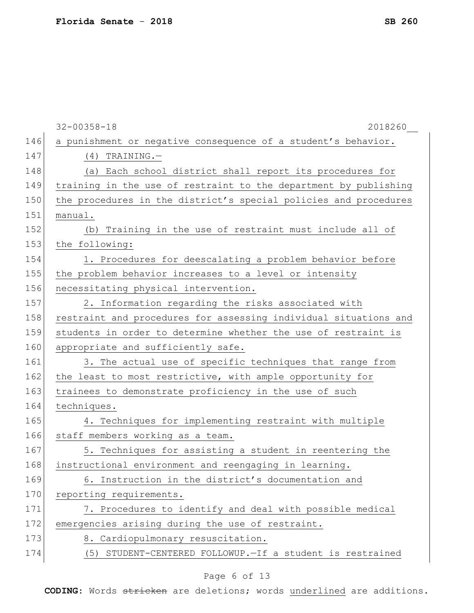|     | $32 - 00358 - 18$<br>2018260                                     |
|-----|------------------------------------------------------------------|
| 146 | a punishment or negative consequence of a student's behavior.    |
| 147 | $(4)$ TRAINING. -                                                |
| 148 | (a) Each school district shall report its procedures for         |
| 149 | training in the use of restraint to the department by publishing |
| 150 | the procedures in the district's special policies and procedures |
| 151 | manual.                                                          |
| 152 | (b) Training in the use of restraint must include all of         |
| 153 | the following:                                                   |
| 154 | 1. Procedures for deescalating a problem behavior before         |
| 155 | the problem behavior increases to a level or intensity           |
| 156 | necessitating physical intervention.                             |
| 157 | 2. Information regarding the risks associated with               |
| 158 | restraint and procedures for assessing individual situations and |
| 159 | students in order to determine whether the use of restraint is   |
| 160 | appropriate and sufficiently safe.                               |
| 161 | 3. The actual use of specific techniques that range from         |
| 162 | the least to most restrictive, with ample opportunity for        |
| 163 | trainees to demonstrate proficiency in the use of such           |
| 164 | techniques.                                                      |
| 165 | 4. Techniques for implementing restraint with multiple           |
| 166 | staff members working as a team.                                 |
| 167 | 5. Techniques for assisting a student in reentering the          |
| 168 | instructional environment and reengaging in learning.            |
| 169 | 6. Instruction in the district's documentation and               |
| 170 | reporting requirements.                                          |
| 171 | 7. Procedures to identify and deal with possible medical         |
| 172 | emergencies arising during the use of restraint.                 |
| 173 | 8. Cardiopulmonary resuscitation.                                |
| 174 | (5) STUDENT-CENTERED FOLLOWUP. - If a student is restrained      |
|     |                                                                  |

#### Page 6 of 13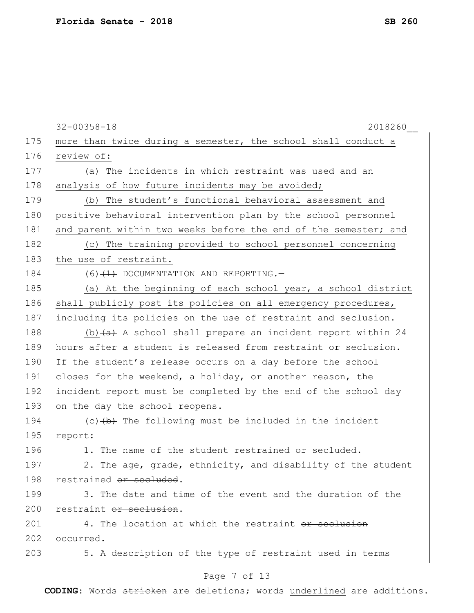|     | $32 - 00358 - 18$<br>2018260                                    |
|-----|-----------------------------------------------------------------|
| 175 | more than twice during a semester, the school shall conduct a   |
| 176 | review of:                                                      |
| 177 | (a) The incidents in which restraint was used and an            |
| 178 | analysis of how future incidents may be avoided;                |
| 179 | (b) The student's functional behavioral assessment and          |
| 180 | positive behavioral intervention plan by the school personnel   |
| 181 | and parent within two weeks before the end of the semester; and |
| 182 | (c) The training provided to school personnel concerning        |
| 183 | the use of restraint.                                           |
| 184 | $(6)$ $(1)$ DOCUMENTATION AND REPORTING.                        |
| 185 | (a) At the beginning of each school year, a school district     |
| 186 | shall publicly post its policies on all emergency procedures,   |
| 187 | including its policies on the use of restraint and seclusion.   |
| 188 | (b) $(a)$ A school shall prepare an incident report within 24   |
| 189 | hours after a student is released from restraint or seclusion.  |
| 190 | If the student's release occurs on a day before the school      |
| 191 | closes for the weekend, a holiday, or another reason, the       |
| 192 | incident report must be completed by the end of the school day  |
| 193 | on the day the school reopens.                                  |
| 194 | (c) $(b)$ The following must be included in the incident        |
| 195 | report:                                                         |
| 196 | 1. The name of the student restrained or secluded.              |
| 197 | 2. The age, grade, ethnicity, and disability of the student     |
| 198 | restrained or secluded.                                         |
| 199 | 3. The date and time of the event and the duration of the       |
| 200 | restraint or seclusion.                                         |
| 201 | 4. The location at which the restraint or seclusion             |
| 202 | occurred.                                                       |
| 203 | 5. A description of the type of restraint used in terms         |
|     | Page 7 of 13                                                    |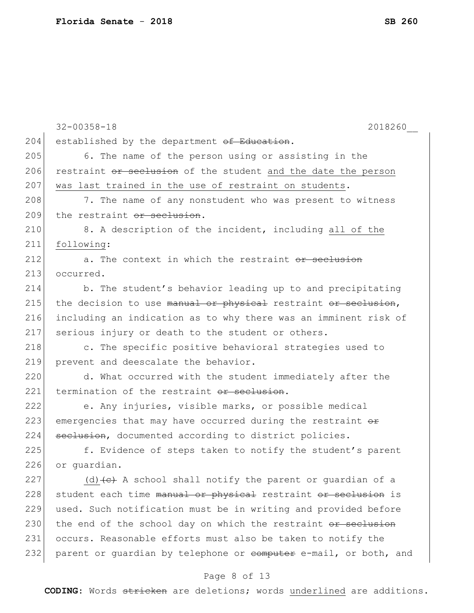|     | $32 - 00358 - 18$<br>2018260                                     |
|-----|------------------------------------------------------------------|
| 204 | established by the department of Education.                      |
| 205 | 6. The name of the person using or assisting in the              |
| 206 | restraint or seclusion of the student and the date the person    |
| 207 | was last trained in the use of restraint on students.            |
| 208 | 7. The name of any nonstudent who was present to witness         |
| 209 | the restraint or seclusion.                                      |
| 210 | 8. A description of the incident, including all of the           |
| 211 | following:                                                       |
| 212 | a. The context in which the restraint or seclusion               |
| 213 | occurred.                                                        |
| 214 | b. The student's behavior leading up to and precipitating        |
| 215 | the decision to use manual or physical restraint or seclusion,   |
| 216 | including an indication as to why there was an imminent risk of  |
| 217 | serious injury or death to the student or others.                |
| 218 | c. The specific positive behavioral strategies used to           |
| 219 | prevent and deescalate the behavior.                             |
| 220 | d. What occurred with the student immediately after the          |
| 221 | termination of the restraint or seclusion.                       |
| 222 | e. Any injuries, visible marks, or possible medical              |
| 223 | emergencies that may have occurred during the restraint or       |
| 224 | seclusion, documented according to district policies.            |
| 225 | f. Evidence of steps taken to notify the student's parent        |
| 226 | or quardian.                                                     |
| 227 | (d) (e) A school shall notify the parent or guardian of a        |
| 228 | student each time manual or physical restraint or seclusion is   |
| 229 | used. Such notification must be in writing and provided before   |
| 230 | the end of the school day on which the restraint or seclusion    |
| 231 | occurs. Reasonable efforts must also be taken to notify the      |
| 232 | parent or guardian by telephone or computer e-mail, or both, and |
|     |                                                                  |

# Page 8 of 13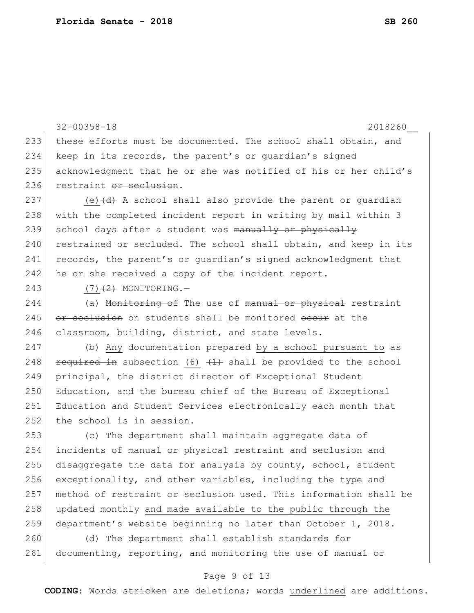```
32-00358-18 2018260__
233 these efforts must be documented. The school shall obtain, and 
234 keep in its records, the parent's or guardian's signed 
235 acknowledgment that he or she was notified of his or her child's
236 restraint or seclusion.
237 (e) \left(\frac{d}{dt} + \frac{d}{dt}\right) a school shall also provide the parent or quardian
238 with the completed incident report in writing by mail within 3
239 school days after a student was manually or physically
240 restrained or secluded. The school shall obtain, and keep in its
241 records, the parent's or quardian's signed acknowledgment that
242 he or she received a copy of the incident report.
243 (7)(7) MONITORING.
244 (a) Monitoring of The use of manual or physical restraint
245 or seclusion on students shall be monitored occur at the
246 classroom, building, district, and state levels.
247 (b) Any documentation prepared by a school pursuant to a\overline{a}248 required in subsection (6) (1) shall be provided to the school
249 principal, the district director of Exceptional Student 
250 Education, and the bureau chief of the Bureau of Exceptional
251 Education and Student Services electronically each month that 
252 the school is in session.
253 (c) The department shall maintain aggregate data of 
254 incidents of manual or physical restraint and seclusion and
255 disaggregate the data for analysis by county, school, student
256 exceptionality, and other variables, including the type and 
257 method of restraint or seclusion used. This information shall be
258 updated monthly and made available to the public through the
259 department's website beginning no later than October 1, 2018.
260 (d) The department shall establish standards for
```
261 documenting, reporting, and monitoring the use of manual or

#### Page 9 of 13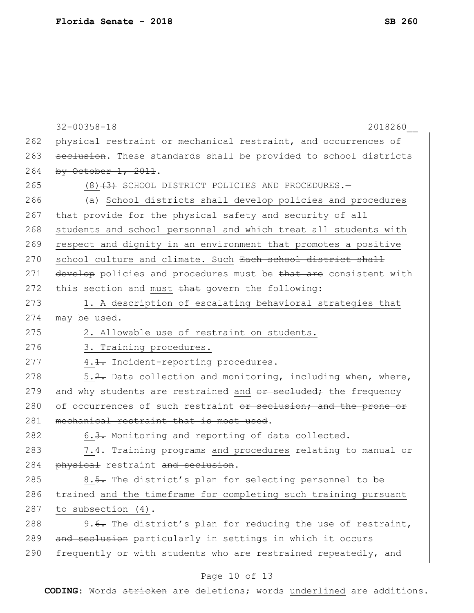|     | $32 - 00358 - 18$<br>2018260                                     |
|-----|------------------------------------------------------------------|
| 262 | physical restraint or mechanical restraint, and occurrences of   |
| 263 | seclusion. These standards shall be provided to school districts |
| 264 | by October $1, 2011$ .                                           |
| 265 | $(8)$ $(3)$ SCHOOL DISTRICT POLICIES AND PROCEDURES. -           |
| 266 | (a) School districts shall develop policies and procedures       |
| 267 | that provide for the physical safety and security of all         |
| 268 | students and school personnel and which treat all students with  |
| 269 | respect and dignity in an environment that promotes a positive   |
| 270 | school culture and climate. Such Each school district shall      |
| 271 | develop policies and procedures must be that are consistent with |
| 272 | this section and must that govern the following:                 |
| 273 | 1. A description of escalating behavioral strategies that        |
| 274 | may be used.                                                     |
| 275 | 2. Allowable use of restraint on students.                       |
| 276 | 3. Training procedures.                                          |
| 277 | 4.1. Incident-reporting procedures.                              |
| 278 | 5.2. Data collection and monitoring, including when, where,      |
| 279 | and why students are restrained and or secluded; the frequency   |
| 280 | of occurrences of such restraint or seclusion; and the prone or  |
| 281 | mechanical restraint that is most used.                          |
| 282 | 6.3. Monitoring and reporting of data collected.                 |
| 283 | 7.4. Training programs and procedures relating to manual         |
| 284 | physical restraint and seclusion                                 |
| 285 | 8.5. The district's plan for selecting personnel to be           |
| 286 | trained and the timeframe for completing such training pursuant  |
| 287 | to subsection (4).                                               |
| 288 | 9.6. The district's plan for reducing the use of restraint,      |
| 289 | and seclusion particularly in settings in which it occurs        |
| 290 | frequently or with students who are restrained repeatedly, and   |

# Page 10 of 13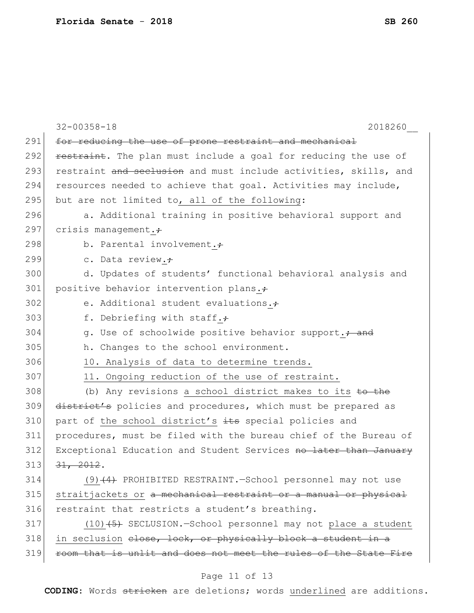|     | $32 - 00358 - 18$<br>2018260                                      |
|-----|-------------------------------------------------------------------|
| 291 | for reducing the use of prone restraint and mechanical            |
| 292 | restraint. The plan must include a goal for reducing the use of   |
| 293 | restraint and seclusion and must include activities, skills, and  |
| 294 | resources needed to achieve that goal. Activities may include,    |
| 295 | but are not limited to, all of the following:                     |
| 296 | a. Additional training in positive behavioral support and         |
| 297 | crisis management. $\div$                                         |
| 298 | b. Parental involvement.+                                         |
| 299 | c. Data review.;                                                  |
| 300 | d. Updates of students' functional behavioral analysis and        |
| 301 | positive behavior intervention plans.+                            |
| 302 | e. Additional student evaluations.+                               |
| 303 | f. Debriefing with staff.+                                        |
| 304 | g. Use of schoolwide positive behavior support.+ and              |
| 305 | h. Changes to the school environment.                             |
| 306 | 10. Analysis of data to determine trends.                         |
| 307 | 11. Ongoing reduction of the use of restraint.                    |
| 308 | (b) Any revisions a school district makes to its to the           |
| 309 | district's policies and procedures, which must be prepared as     |
| 310 | part of the school district's its special policies and            |
| 311 | procedures, must be filed with the bureau chief of the Bureau of  |
| 312 | Exceptional Education and Student Services no later than January  |
| 313 | 31, 2012.                                                         |
| 314 | $(9)$ $(4)$ PROHIBITED RESTRAINT.-School personnel may not use    |
| 315 | straitjackets or a mechanical restraint or a manual or physical   |
| 316 | restraint that restricts a student's breathing.                   |
| 317 | $(10)$ $(5)$ SECLUSION. -School personnel may not place a student |
| 318 | in seclusion elose, lock, or physically block a student in a      |
| 319 | room that is unlit and does not meet the rules of the State Fire  |
|     | $D_{200}$ 11 of 13                                                |

#### Page 11 of 13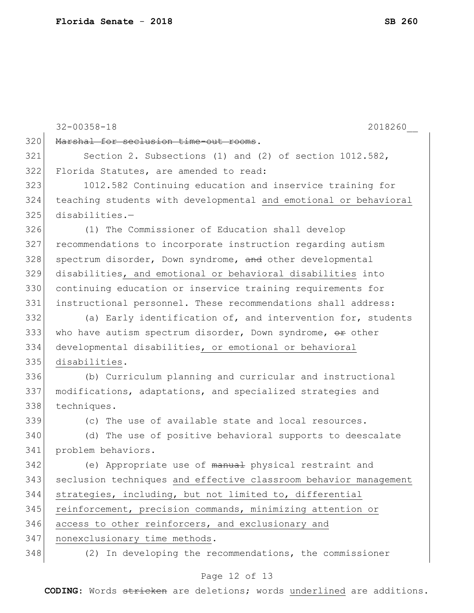|     | $32 - 00358 - 18$<br>2018260                                     |
|-----|------------------------------------------------------------------|
| 320 | Marshal for seclusion time-out rooms.                            |
| 321 | Section 2. Subsections (1) and (2) of section $1012.582$ ,       |
| 322 | Florida Statutes, are amended to read:                           |
| 323 | 1012.582 Continuing education and inservice training for         |
| 324 | teaching students with developmental and emotional or behavioral |
| 325 | $disabilities. -$                                                |
| 326 | (1) The Commissioner of Education shall develop                  |
| 327 | recommendations to incorporate instruction regarding autism      |
| 328 | spectrum disorder, Down syndrome, and other developmental        |
| 329 | disabilities, and emotional or behavioral disabilities into      |
| 330 | continuing education or inservice training requirements for      |
| 331 | instructional personnel. These recommendations shall address:    |
| 332 | (a) Early identification of, and intervention for, students      |
| 333 | who have autism spectrum disorder, Down syndrome, or other       |
| 334 | developmental disabilities, or emotional or behavioral           |
| 335 | disabilities.                                                    |
| 336 | (b) Curriculum planning and curricular and instructional         |
| 337 | modifications, adaptations, and specialized strategies and       |
| 338 | techniques.                                                      |
| 339 | (c) The use of available state and local resources.              |
| 340 | (d) The use of positive behavioral supports to deescalate        |
| 341 | problem behaviors.                                               |
| 342 | (e) Appropriate use of manual physical restraint and             |
| 343 | seclusion techniques and effective classroom behavior management |
| 344 | strategies, including, but not limited to, differential          |
| 345 | reinforcement, precision commands, minimizing attention or       |
| 346 | access to other reinforcers, and exclusionary and                |
| 347 | nonexclusionary time methods.                                    |
| 348 | (2) In developing the recommendations, the commissioner          |

# Page 12 of 13